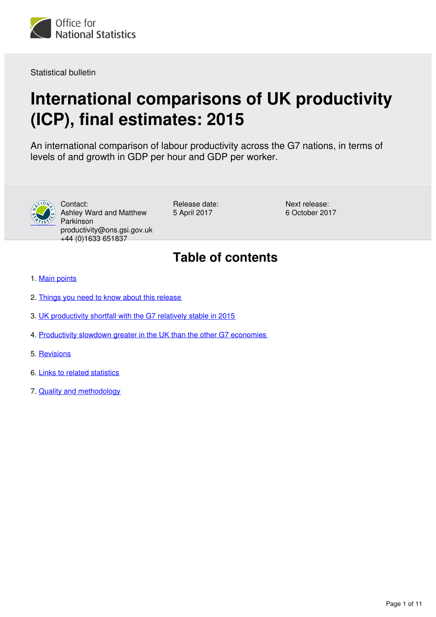

Statistical bulletin

# **International comparisons of UK productivity (ICP), final estimates: 2015**

An international comparison of labour productivity across the G7 nations, in terms of levels of and growth in GDP per hour and GDP per worker.



Contact: Ashley Ward and Matthew Parkinson productivity@ons.gsi.gov.uk +44 (0)1633 651837

Release date: 5 April 2017

Next release: 6 October 2017

## **Table of contents**

- 1. [Main points](#page-1-0)
- 2. [Things you need to know about this release](#page-1-1)
- 3. [UK productivity shortfall with the G7 relatively stable in 2015](#page-2-0)
- 4. [Productivity slowdown greater in the UK than the other G7 economies](#page-4-0)
- 5. [Revisions](#page-6-0)
- 6. [Links to related statistics](#page-7-0)
- 7. [Quality and methodology](#page-9-0)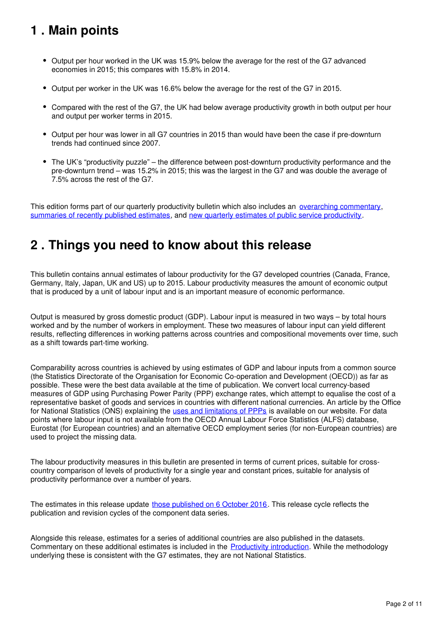## <span id="page-1-0"></span>**1 . Main points**

- Output per hour worked in the UK was 15.9% below the average for the rest of the G7 advanced economies in 2015; this compares with 15.8% in 2014.
- Output per worker in the UK was 16.6% below the average for the rest of the G7 in 2015.
- Compared with the rest of the G7, the UK had below average productivity growth in both output per hour and output per worker terms in 2015.
- Output per hour was lower in all G7 countries in 2015 than would have been the case if pre-downturn trends had continued since 2007.
- The UK's "productivity puzzle" the difference between post-downturn productivity performance and the pre-downturn trend – was 15.2% in 2015; this was the largest in the G7 and was double the average of 7.5% across the rest of the G7.

This edition forms part of our quarterly productivity bulletin which also includes an *[overarching commentary](https://www.ons.gov.uk/employmentandlabourmarket/peopleinwork/labourproductivity/articles/ukproductivityintroduction/previousReleases)*, [summaries of recently published estimates,](https://www.ons.gov.uk/employmentandlabourmarket/peopleinwork/labourproductivity/articles/ukproductivityintroduction/previousReleases) and [new quarterly estimates of public service productivity](https://www.ons.gov.uk/employmentandlabourmarket/peopleinwork/labourproductivity/articles/quarterlypublicserviceproductivityexperimentalstatistics/previousReleases).

## <span id="page-1-1"></span>**2 . Things you need to know about this release**

This bulletin contains annual estimates of labour productivity for the G7 developed countries (Canada, France, Germany, Italy, Japan, UK and US) up to 2015. Labour productivity measures the amount of economic output that is produced by a unit of labour input and is an important measure of economic performance.

Output is measured by gross domestic product (GDP). Labour input is measured in two ways – by total hours worked and by the number of workers in employment. These two measures of labour input can yield different results, reflecting differences in working patterns across countries and compositional movements over time, such as a shift towards part-time working.

Comparability across countries is achieved by using estimates of GDP and labour inputs from a common source (the Statistics Directorate of the Organisation for Economic Co-operation and Development (OECD)) as far as possible. These were the best data available at the time of publication. We convert local currency-based measures of GDP using Purchasing Power Parity (PPP) exchange rates, which attempt to equalise the cost of a representative basket of goods and services in countries with different national currencies. An article by the Office for National Statistics (ONS) explaining the [uses and limitations of PPPs](http://www.ons.gov.uk/ons/rel/elmr/economic-and-labour-market-review/no--8--august-2007/international-comparisons-of-productivity--recommended-uses-of-the-current-and-constant-ppp-approach.pdf) is available on our website. For data points where labour input is not available from the OECD Annual Labour Force Statistics (ALFS) database, Eurostat (for European countries) and an alternative OECD employment series (for non-European countries) are used to project the missing data.

The labour productivity measures in this bulletin are presented in terms of current prices, suitable for crosscountry comparison of levels of productivity for a single year and constant prices, suitable for analysis of productivity performance over a number of years.

The estimates in this release update those published on 6 October 2016[.](https://www.ons.gov.uk/economy/economicoutputandproductivity/productivitymeasures/bulletins/internationalcomparisonsofproductivityfirstestimates/2015) This release cycle reflects the publication and revision cycles of the component data series.

Alongside this release, estimates for a series of additional countries are also published in the datasets. Commentary on these additional estimates is included in the [Productivity introduction](https://www.ons.gov.uk/employmentandlabourmarket/peopleinwork/labourproductivity/articles/ukproductivityintroduction/octtodec2016). While the methodology underlying these is consistent with the G7 estimates, they are not National Statistics.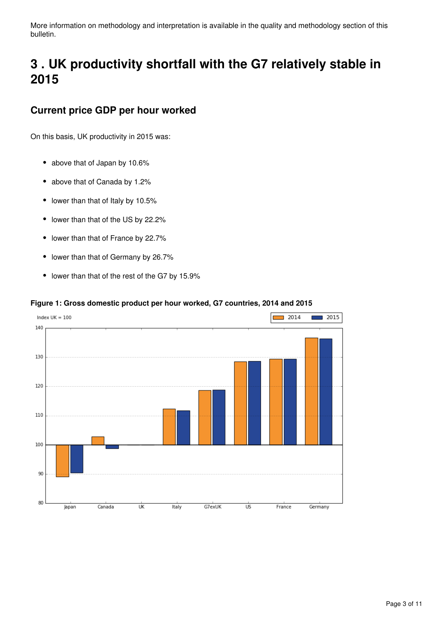More information on methodology and interpretation is available in the quality and methodology section of this bulletin.

## <span id="page-2-0"></span>**3 . UK productivity shortfall with the G7 relatively stable in 2015**

### **Current price GDP per hour worked**

On this basis, UK productivity in 2015 was:

- above that of Japan by 10.6%
- above that of Canada by 1.2%
- lower than that of Italy by 10.5%
- lower than that of the US by 22.2%  $\bullet$
- lower than that of France by 22.7%  $\bullet$
- $\bullet$ lower than that of Germany by 26.7%
- lower than that of the rest of the G7 by 15.9%

### **Figure 1: Gross domestic product per hour worked, G7 countries, 2014 and 2015**

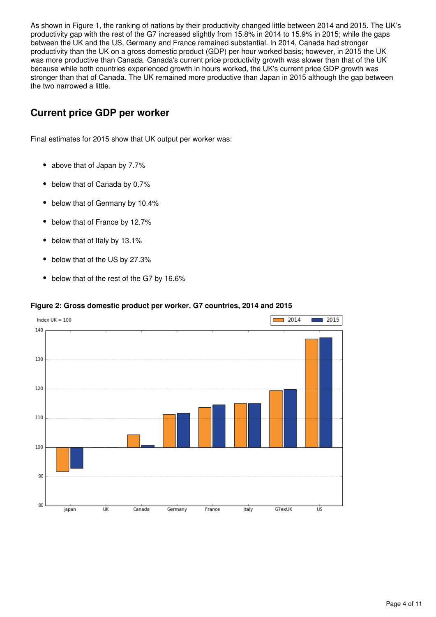As shown in Figure 1, the ranking of nations by their productivity changed little between 2014 and 2015. The UK's productivity gap with the rest of the G7 increased slightly from 15.8% in 2014 to 15.9% in 2015; while the gaps between the UK and the US, Germany and France remained substantial. In 2014, Canada had stronger productivity than the UK on a gross domestic product (GDP) per hour worked basis; however, in 2015 the UK was more productive than Canada. Canada's current price productivity growth was slower than that of the UK because while both countries experienced growth in hours worked, the UK's current price GDP growth was stronger than that of Canada. The UK remained more productive than Japan in 2015 although the gap between the two narrowed a little.

### **Current price GDP per worker**

Final estimates for 2015 show that UK output per worker was:

- above that of Japan by 7.7%
- below that of Canada by 0.7%
- below that of Germany by 10.4%
- below that of France by 12.7%
- $\bullet$ below that of Italy by 13.1%
- below that of the US by 27.3%
- below that of the rest of the G7 by 16.6%

### **Figure 2: Gross domestic product per worker, G7 countries, 2014 and 2015**

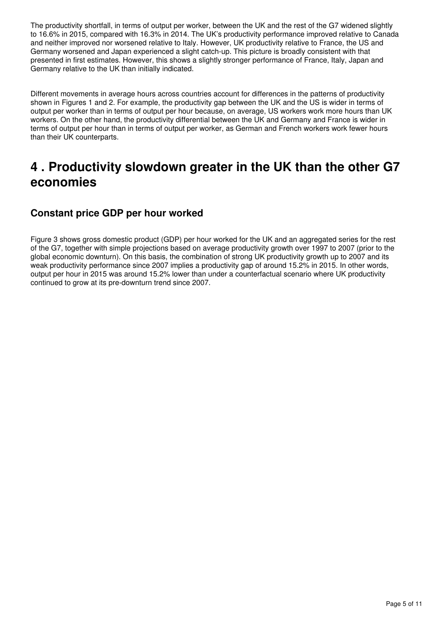The productivity shortfall, in terms of output per worker, between the UK and the rest of the G7 widened slightly to 16.6% in 2015, compared with 16.3% in 2014. The UK's productivity performance improved relative to Canada and neither improved nor worsened relative to Italy. However, UK productivity relative to France, the US and Germany worsened and Japan experienced a slight catch-up. This picture is broadly consistent with that presented in first estimates. However, this shows a slightly stronger performance of France, Italy, Japan and Germany relative to the UK than initially indicated.

Different movements in average hours across countries account for differences in the patterns of productivity shown in Figures 1 and 2. For example, the productivity gap between the UK and the US is wider in terms of output per worker than in terms of output per hour because, on average, US workers work more hours than UK workers. On the other hand, the productivity differential between the UK and Germany and France is wider in terms of output per hour than in terms of output per worker, as German and French workers work fewer hours than their UK counterparts.

### <span id="page-4-0"></span>**4 . Productivity slowdown greater in the UK than the other G7 economies**

### **Constant price GDP per hour worked**

Figure 3 shows gross domestic product (GDP) per hour worked for the UK and an aggregated series for the rest of the G7, together with simple projections based on average productivity growth over 1997 to 2007 (prior to the global economic downturn). On this basis, the combination of strong UK productivity growth up to 2007 and its weak productivity performance since 2007 implies a productivity gap of around 15.2% in 2015. In other words, output per hour in 2015 was around 15.2% lower than under a counterfactual scenario where UK productivity continued to grow at its pre-downturn trend since 2007.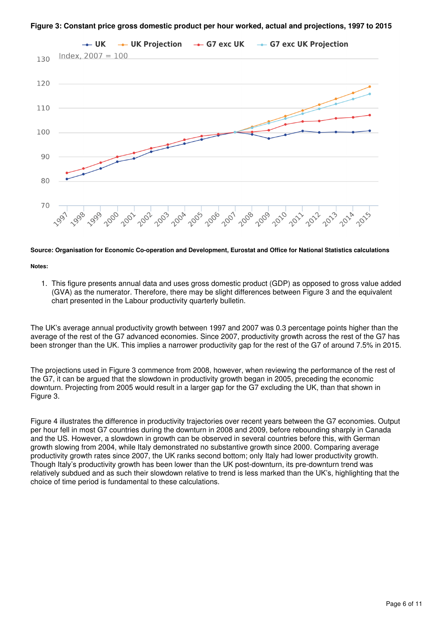



### **Source: Organisation for Economic Co-operation and Development, Eurostat and Office for National Statistics calculations**

#### **Notes:**

1. This figure presents annual data and uses gross domestic product (GDP) as opposed to gross value added (GVA) as the numerator. Therefore, there may be slight differences between Figure 3 and the equivalent chart presented in the Labour productivity quarterly bulletin.

The UK's average annual productivity growth between 1997 and 2007 was 0.3 percentage points higher than the average of the rest of the G7 advanced economies. Since 2007, productivity growth across the rest of the G7 has been stronger than the UK. This implies a narrower productivity gap for the rest of the G7 of around 7.5% in 2015.

The projections used in Figure 3 commence from 2008, however, when reviewing the performance of the rest of the G7, it can be argued that the slowdown in productivity growth began in 2005, preceding the economic downturn. Projecting from 2005 would result in a larger gap for the G7 excluding the UK, than that shown in Figure 3.

Figure 4 illustrates the difference in productivity trajectories over recent years between the G7 economies. Output per hour fell in most G7 countries during the downturn in 2008 and 2009, before rebounding sharply in Canada and the US. However, a slowdown in growth can be observed in several countries before this, with German growth slowing from 2004, while Italy demonstrated no substantive growth since 2000. Comparing average productivity growth rates since 2007, the UK ranks second bottom; only Italy had lower productivity growth. Though Italy's productivity growth has been lower than the UK post-downturn, its pre-downturn trend was relatively subdued and as such their slowdown relative to trend is less marked than the UK's, highlighting that the choice of time period is fundamental to these calculations.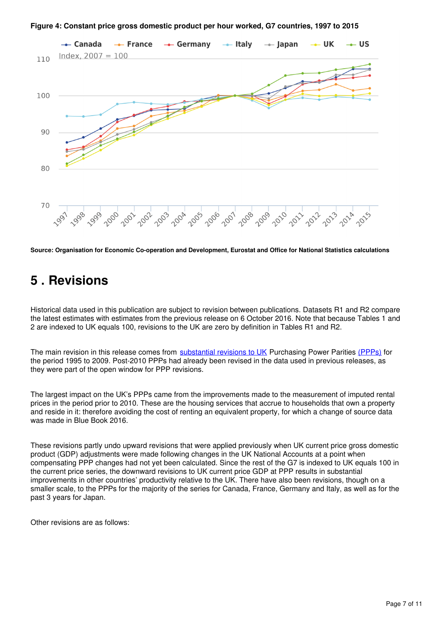

**Figure 4: Constant price gross domestic product per hour worked, G7 countries, 1997 to 2015**

**Source: Organisation for Economic Co-operation and Development, Eurostat and Office for National Statistics calculations**

## <span id="page-6-0"></span>**5 . Revisions**

Historical data used in this publication are subject to revision between publications. Datasets R1 and R2 compare the latest estimates with estimates from the previous release on 6 October 2016. Note that because Tables 1 and 2 are indexed to UK equals 100, revisions to the UK are zero by definition in Tables R1 and R2.

The main revision in this release comes from [substantial revisions to UK](https://www.ons.gov.uk/economy/inflationandpriceindices/methodologies/improvementsintheproductionofukpurchasingpowerparitiesdatadecember2016) Purchasing Power Parities (PPPs) for the period 1995 to 2009. Post-2010 PPPs had already been revised in the data used in previous releases, as they were part of the open window for PPP revisions.

The largest impact on the UK's PPPs came from the improvements made to the measurement of imputed rental prices in the period prior to 2010. These are the housing services that accrue to households that own a property and reside in it: therefore avoiding the cost of renting an equivalent property, for which a change of source data was made in Blue Book 2016.

These revisions partly undo upward revisions that were applied previously when UK current price gross domestic product (GDP) adjustments were made following changes in the UK National Accounts at a point when compensating PPP changes had not yet been calculated. Since the rest of the G7 is indexed to UK equals 100 in the current price series, the downward revisions to UK current price GDP at PPP results in substantial improvements in other countries' productivity relative to the UK. There have also been revisions, though on a smaller scale, to the PPPs for the majority of the series for Canada, France, Germany and Italy, as well as for the past 3 years for Japan.

Other revisions are as follows: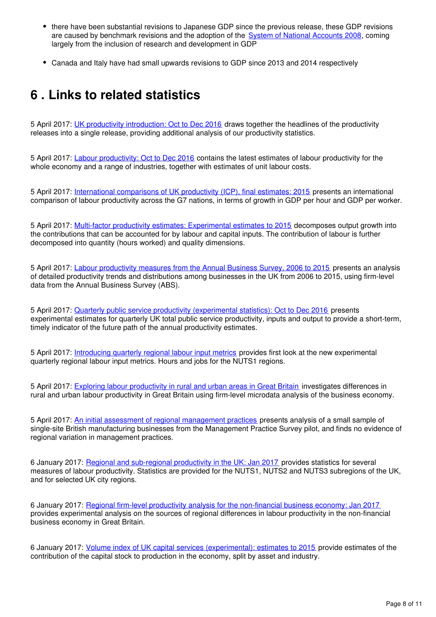- there have been substantial revisions to Japanese GDP since the previous release, these GDP revisions are caused by benchmark revisions and the adoption of the System of National Accounts 2008[,](https://www.oecd.org/std/na/new-standards-for-compiling-national-accounts-SNA2008-OECDSB20.pdf) coming largely from the inclusion of research and development in GDP
- Canada and Italy have had small upwards revisions to GDP since 2013 and 2014 respectively

## <span id="page-7-0"></span>**6 . Links to related statistics**

5 April 2017: [UK productivity introduction: Oct to Dec 2016](https://www.ons.gov.uk/employmentandlabourmarket/peopleinwork/labourproductivity/articles/ukproductivityintroduction/previousReleases) draws together the headlines of the productivity releases into a single release, providing additional analysis of our productivity statistics.

5 April 2017: [Labour productivity: Oct to Dec 2016](https://www.ons.gov.uk/employmentandlabourmarket/peopleinwork/labourproductivity/bulletins/labourproductivity/octtodec2016) contains the latest estimates of labour productivity for the whole economy and a range of industries, together with estimates of unit labour costs.

5 April 2017: [International comparisons of UK productivity \(ICP\), final estimates: 2015](https://www.ons.gov.co.uk/economy/economicoutputandproductivity/productivitymeasures/bulletins/internationalcomparisonsofproductivityfinalestimates/2015) presents an international comparison of labour productivity across the G7 nations, in terms of growth in GDP per hour and GDP per worker.

5 April 2017: [Multi-factor productivity estimates: Experimental estimates to 2015](https://www.ons.gov.uk/economy/economicoutputandproductivity/productivitymeasures/articles/multifactorproductivityestimates/experimentalestimatesto2015) decomposes output growth into the contributions that can be accounted for by labour and capital inputs. The contribution of labour is further decomposed into quantity (hours worked) and quality dimensions.

5 April 2017: [Labour productivity measures from the Annual Business Survey, 2006 to 2015](https://www.ons.gov.uk/economy/economicoutputandproductivity/productivitymeasures/articles/labourproductivitymeasuresfromtheannualbusinesssurvey/2006to2015) presents an analysis of detailed productivity trends and distributions among businesses in the UK from 2006 to 2015, using firm-level data from the Annual Business Survey (ABS).

5 April 2017: [Quarterly public service productivity \(experimental statistics\): Oct to Dec 2016](https://www.ons.gov.co.uk/employmentandlabourmarket/peopleinwork/labourproductivity/articles/quarterlypublicserviceproductivityexperimentalstatistics/octtodec2016) presents experimental estimates for quarterly UK total public service productivity, inputs and output to provide a short-term, timely indicator of the future path of the annual productivity estimates.

5 April 2017: [Introducing quarterly regional labour input metrics](https://www.ons.gov.uk/employmentandlabourmarket/peopleinwork/labourproductivity/articles/introducingquarterlyregionallabourinputmetrics/2017-04-11) provides first look at the new experimental quarterly regional labour input metrics. Hours and jobs for the NUTS1 regions.

5 April 2017: [Exploring labour productivity in rural and urban areas in Great Britain](https://www.ons.gov.uk/employmentandlabourmarket/peopleinwork/labourproductivity/articles/exploringlabourproductivityinruralandurbanareasingreatbritain/2014) investigates differences in rural and urban labour productivity in Great Britain using firm-level microdata analysis of the business economy.

5 April 2017: [An initial assessment of regional management practices](https://www.ons.gov.uk/economy/economicoutputandproductivity/productivitymeasures/articles/managementpracticesandproductivityaregionalperspective/2015) presents analysis of a small sample of single-site British manufacturing businesses from the Management Practice Survey pilot, and finds no evidence of regional variation in management practices.

6 January 2017: [Regional and sub-regional productivity in the UK: Jan 2017](https://www.ons.gov.uk/employmentandlabourmarket/peopleinwork/labourproductivity/articles/regionalandsubregionalproductivityintheuk/jan2017) provides statistics for several measures of labour productivity. Statistics are provided for the NUTS1, NUTS2 and NUTS3 subregions of the UK, and for selected UK city regions.

6 January 2017: [Regional firm-level productivity analysis for the non-financial business economy: Jan 2017](https://www.ons.gov.uk/employmentandlabourmarket/peopleinwork/labourproductivity/articles/regionalfirmlevelproductivityanalysisforthenonfinancialbusinesseconomy/jan2017) provides experimental analysis on the sources of regional differences in labour productivity in the non-financial business economy in Great Britain.

6 January 2017: [Volume index of UK capital services \(experimental\): estimates to 2015](https://www.ons.gov.uk/economy/economicoutputandproductivity/output/articles/volumeindexofukcapitalservicesexperimental/estimatesto2015) provide estimates of the contribution of the capital stock to production in the economy, split by asset and industry.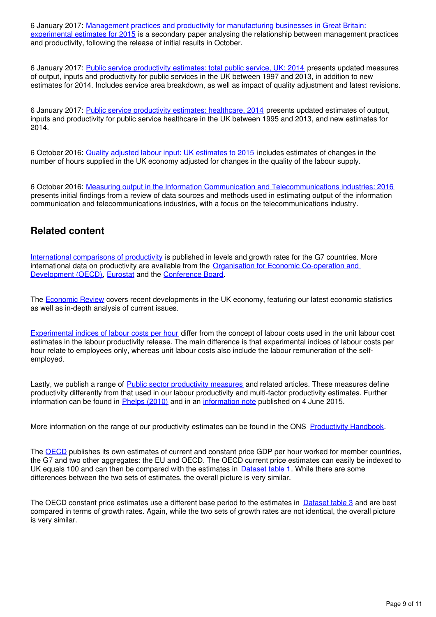6 January 2017: Management practices and productivity for manufacturing businesses in Great Britain: [experimental estimates for 2015](https://www.ons.gov.uk/employmentandlabourmarket/peopleinwork/labourproductivity/articles/experimentaldataonthemanagementpracticesofmanufacturingbusinessesingreatbritain/experimentalestimatesfor2015) is a secondary paper analysing the relationship between management practices and productivity, following the release of initial results in October.

6 January 2017: [Public service productivity estimates: total public service, UK: 2014](https://www.ons.gov.uk/economy/economicoutputandproductivity/publicservicesproductivity/articles/publicservicesproductivityestimatestotalpublicservices/2014) presents updated measures of output, inputs and productivity for public services in the UK between 1997 and 2013, in addition to new estimates for 2014. Includes service area breakdown, as well as impact of quality adjustment and latest revisions.

6 January 2017: [Public service productivity estimates: healthcare, 2014](https://www.ons.gov.uk/economy/economicoutputandproductivity/publicservicesproductivity/articles/publicservicesproductivityestimateshealthcare/healthcare2014) presents updated estimates of output, inputs and productivity for public service healthcare in the UK between 1995 and 2013, and new estimates for 2014.

6 October 2016: [Quality adjusted labour input: UK estimates to 2015](https://www.ons.gov.uk/economy/economicoutputandproductivity/productivitymeasures/articles/qualityadjustedlabourinput/estimatesto2015) includes estimates of changes in the number of hours supplied in the UK economy adjusted for changes in the quality of the labour supply.

6 October 2016: [Measuring output in the Information Communication and Telecommunications industries: 2016](https://www.ons.gov.uk/employmentandlabourmarket/peopleinwork/labourproductivity/articles/measuringoutputintheinformationcommunicationandtelecommunicationsindustries/2016) presents initial findings from a review of data sources and methods used in estimating output of the information communication and telecommunications industries, with a focus on the telecommunications industry.

### **Related content**

[International comparisons of productivity](https://www.ons.gov.uk/economy/economicoutputandproductivity/productivitymeasures/bulletins/internationalcomparisonsofproductivityfinalestimates/previousReleases) is published in levels and growth rates for the G7 countries. More international data on productivity are available from the [Organisation for Economic Co-operation and](http://www.oecd.org/std/oecdmaineconomicindicatorsmei.htm)  [Development \(OECD\)](http://www.oecd.org/std/oecdmaineconomicindicatorsmei.htm), Eurostat and the Conference Board.

The [Economic Review](https://www.ons.gov.uk/economy/nationalaccounts/uksectoraccounts/articles/economicreview/previousReleases) covers recent developments in the UK economy, featuring our latest economic statistics as well as in-depth analysis of current issues.

[Experimental indices of labour costs per hour](https://www.ons.gov.uk/employmentandlabourmarket/peopleinwork/earningsandworkinghours/bulletins/indexoflabourcostsperhourilch/previousReleases) differ from the concept of labour costs used in the unit labour cost estimates in the labour productivity release. The main difference is that experimental indices of labour costs per hour relate to employees only, whereas unit labour costs also include the labour remuneration of the selfemployed.

Lastly, we publish a range of [Public sector productivity measures](https://www.ons.gov.uk/economy/economicoutputandproductivity/publicservicesproductivity) and related articles. These measures define productivity differently from that used in our labour productivity and multi-factor productivity estimates. Further information can be found in Phelps (2010) and in an information note published on 4 June 2015.

More information on the range of our productivity estimates can be found in the ONS Productivity Handbook.

The [OECD](http://www.ons.gov.uk/ons/external-links/organisations/oecd/oecd--main-economic-indicators--mei-.html) publishes its own estimates of current and constant price GDP per hour worked for member countries, the G7 and two other aggregates: the EU and OECD. The OECD current price estimates can easily be indexed to UK equals 100 and can then be compared with the estimates in  $\Delta$  [Dataset table 1](https://www.ons.gov.uk/economy/economicoutputandproductivity/productivitymeasures/datasets/internationalcomparisonsofproductivityfirstestimates). While there are some differences between the two sets of estimates, the overall picture is very similar.

The OECD constant price estimates use a different base period to the estimates in [Dataset table 3](https://www.ons.gov.uk/economy/economicoutputandproductivity/productivitymeasures/datasets/internationalcomparisonsofproductivityfirstestimates) and are best compared in terms of growth rates. Again, while the two sets of growth rates are not identical, the overall picture is very similar.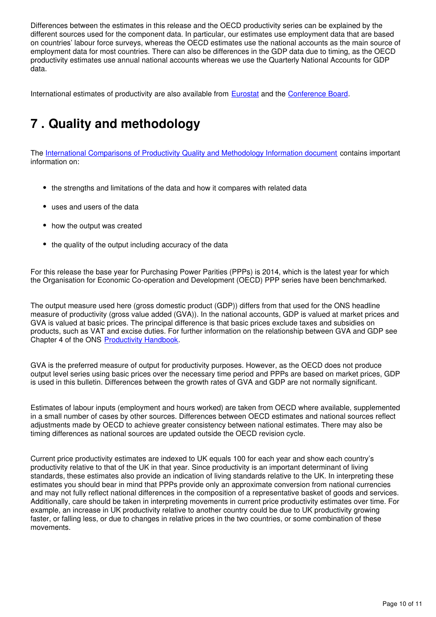Differences between the estimates in this release and the OECD productivity series can be explained by the different sources used for the component data. In particular, our estimates use employment data that are based on countries' labour force surveys, whereas the OECD estimates use the national accounts as the main source of employment data for most countries. There can also be differences in the GDP data due to timing, as the OECD productivity estimates use annual national accounts whereas we use the Quarterly National Accounts for GDP data.

Internationalestimates of productivity are also available from **Eurostat and the Conference Board.** 

## <span id="page-9-0"></span>**7 . Quality and methodology**

The [International Comparisons of Productivity Quality and Methodology Information document](http://www.ons.gov.uk/ons/guide-method/method-quality/quality/quality-information/economy/summary-quality-report-for-international-comparisons-of-productivity.pdf) contains important information on:

- the strengths and limitations of the data and how it compares with related data
- uses and users of the data
- how the output was created
- the quality of the output including accuracy of the data

For this release the base year for Purchasing Power Parities (PPPs) is 2014, which is the latest year for which the Organisation for Economic Co-operation and Development (OECD) PPP series have been benchmarked.

The output measure used here (gross domestic product (GDP)) differs from that used for the ONS headline measure of productivity (gross value added (GVA)). In the national accounts, GDP is valued at market prices and GVA is valued at basic prices. The principal difference is that basic prices exclude taxes and subsidies on products, such as VAT and excise duties. For further information on the relationship between GVA and GDP see Chapter 4 of the ONS Productivity Handbook.

GVA is the preferred measure of output for productivity purposes. However, as the OECD does not produce output level series using basic prices over the necessary time period and PPPs are based on market prices, GDP is used in this bulletin. Differences between the growth rates of GVA and GDP are not normally significant.

Estimates of labour inputs (employment and hours worked) are taken from OECD where available, supplemented in a small number of cases by other sources. Differences between OECD estimates and national sources reflect adjustments made by OECD to achieve greater consistency between national estimates. There may also be timing differences as national sources are updated outside the OECD revision cycle.

Current price productivity estimates are indexed to UK equals 100 for each year and show each country's productivity relative to that of the UK in that year. Since productivity is an important determinant of living standards, these estimates also provide an indication of living standards relative to the UK. In interpreting these estimates you should bear in mind that PPPs provide only an approximate conversion from national currencies and may not fully reflect national differences in the composition of a representative basket of goods and services. Additionally, care should be taken in interpreting movements in current price productivity estimates over time. For example, an increase in UK productivity relative to another country could be due to UK productivity growing faster, or falling less, or due to changes in relative prices in the two countries, or some combination of these movements.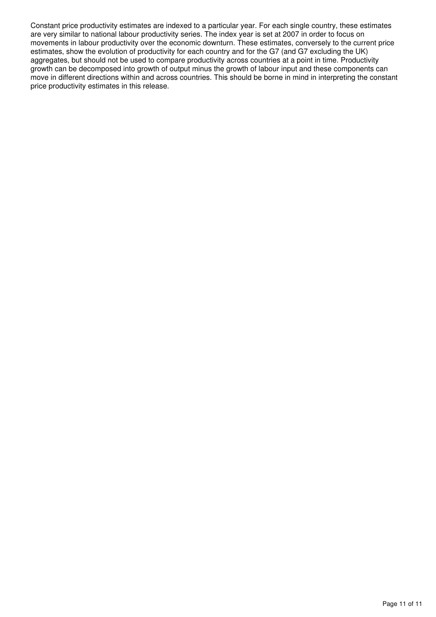Constant price productivity estimates are indexed to a particular year. For each single country, these estimates are very similar to national labour productivity series. The index year is set at 2007 in order to focus on movements in labour productivity over the economic downturn. These estimates, conversely to the current price estimates, show the evolution of productivity for each country and for the G7 (and G7 excluding the UK) aggregates, but should not be used to compare productivity across countries at a point in time. Productivity growth can be decomposed into growth of output minus the growth of labour input and these components can move in different directions within and across countries. This should be borne in mind in interpreting the constant price productivity estimates in this release.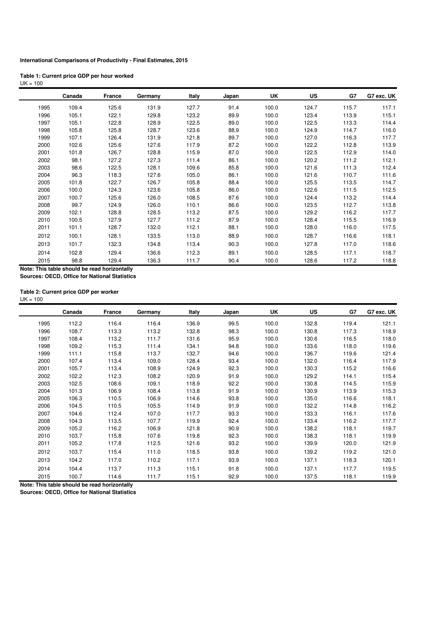#### **International Comparisons of Productivity - Final Estimates, 2015**

| Table 1: Current price GDP per hour worked |  |
|--------------------------------------------|--|
| $UK = 100$                                 |  |

|                                              | Canada | France | Germany | Italy | Japan | UK    | US    | G7    | G7 exc. UK |
|----------------------------------------------|--------|--------|---------|-------|-------|-------|-------|-------|------------|
| 1995                                         | 109.4  | 125.6  | 131.9   | 127.7 | 91.4  | 100.0 | 124.7 | 115.7 | 117.1      |
| 1996                                         | 105.1  | 122.1  | 129.8   | 123.2 | 89.9  | 100.0 | 123.4 | 113.9 | 115.1      |
| 1997                                         | 105.1  | 122.8  | 128.9   | 122.5 | 89.0  | 100.0 | 122.5 | 113.3 | 114.4      |
| 1998                                         | 105.8  | 125.8  | 128.7   | 123.6 | 88.9  | 100.0 | 124.9 | 114.7 | 116.0      |
| 1999                                         | 107.1  | 126.4  | 131.9   | 121.8 | 89.7  | 100.0 | 127.0 | 116.3 | 117.7      |
| 2000                                         | 102.6  | 125.6  | 127.6   | 117.9 | 87.2  | 100.0 | 122.2 | 112.8 | 113.9      |
| 2001                                         | 101.8  | 126.7  | 128.8   | 115.9 | 87.0  | 100.0 | 122.5 | 112.9 | 114.0      |
| 2002                                         | 98.1   | 127.2  | 127.3   | 111.4 | 86.1  | 100.0 | 120.2 | 111.2 | 112.1      |
| 2003                                         | 98.6   | 122.5  | 128.1   | 109.6 | 85.8  | 100.0 | 121.6 | 111.3 | 112.4      |
| 2004                                         | 96.3   | 118.3  | 127.6   | 105.0 | 86.1  | 100.0 | 121.6 | 110.7 | 111.6      |
| 2005                                         | 101.8  | 122.7  | 126.7   | 105.8 | 88.4  | 100.0 | 125.5 | 113.5 | 114.7      |
| 2006                                         | 100.0  | 124.3  | 123.6   | 105.8 | 86.0  | 100.0 | 122.6 | 111.5 | 112.5      |
| 2007                                         | 100.7  | 125.6  | 126.0   | 108.5 | 87.6  | 100.0 | 124.4 | 113.2 | 114.4      |
| 2008                                         | 99.7   | 124.9  | 126.0   | 110.1 | 86.6  | 100.0 | 123.5 | 112.7 | 113.8      |
| 2009                                         | 102.1  | 128.8  | 128.5   | 113.2 | 87.5  | 100.0 | 129.2 | 116.2 | 117.7      |
| 2010                                         | 100.5  | 127.9  | 127.7   | 111.2 | 87.9  | 100.0 | 128.4 | 115.5 | 116.9      |
| 2011                                         | 101.1  | 128.7  | 132.0   | 112.1 | 88.1  | 100.0 | 128.0 | 116.0 | 117.5      |
| 2012                                         | 100.1  | 128.1  | 133.5   | 113.0 | 88.9  | 100.0 | 128.7 | 116.6 | 118.1      |
| 2013                                         | 101.7  | 132.3  | 134.8   | 113.4 | 90.3  | 100.0 | 127.8 | 117.0 | 118.6      |
| 2014                                         | 102.8  | 129.4  | 136.6   | 112.3 | 89.1  | 100.0 | 128.5 | 117.1 | 118.7      |
| 2015                                         | 98.8   | 129.4  | 136.3   | 111.7 | 90.4  | 100.0 | 128.6 | 117.2 | 118.8      |
| Note: This table should be read horizontally |        |        |         |       |       |       |       |       |            |

**Note: This table should be read horizontally Sources: OECD, Office for National Statistics**

#### **Table 2: Current price GDP per worker**

 $UK = 100$ 

|      | Canada | <b>France</b> | Germany | Italy | Japan | <b>UK</b> | <b>US</b> | G7    | G7 exc. UK |
|------|--------|---------------|---------|-------|-------|-----------|-----------|-------|------------|
| 1995 | 112.2  | 116.4         | 116.4   | 136.9 | 99.5  | 100.0     | 132.8     | 119.4 | 121.1      |
| 1996 | 108.7  | 113.3         | 113.2   | 132.8 | 98.3  | 100.0     | 130.8     | 117.3 | 118.9      |
| 1997 | 108.4  | 113.2         | 111.7   | 131.6 | 95.9  | 100.0     | 130.6     | 116.5 | 118.0      |
| 1998 | 109.2  | 115.3         | 111.4   | 134.1 | 94.8  | 100.0     | 133.6     | 118.0 | 119.6      |
| 1999 | 111.1  | 115.8         | 113.7   | 132.7 | 94.6  | 100.0     | 136.7     | 119.6 | 121.4      |
| 2000 | 107.4  | 113.4         | 109.0   | 128.4 | 93.4  | 100.0     | 132.0     | 116.4 | 117.9      |
| 2001 | 105.7  | 113.4         | 108.9   | 124.9 | 92.3  | 100.0     | 130.3     | 115.2 | 116.6      |
| 2002 | 102.2  | 112.3         | 108.2   | 120.9 | 91.9  | 100.0     | 129.2     | 114.1 | 115.4      |
| 2003 | 102.5  | 108.6         | 109.1   | 118.9 | 92.2  | 100.0     | 130.8     | 114.5 | 115.9      |
| 2004 | 101.3  | 106.9         | 108.4   | 113.8 | 91.9  | 100.0     | 130.9     | 113.9 | 115.3      |
| 2005 | 106.3  | 110.5         | 106.9   | 114.6 | 93.8  | 100.0     | 135.0     | 116.6 | 118.1      |
| 2006 | 104.5  | 110.5         | 105.5   | 114.9 | 91.9  | 100.0     | 132.2     | 114.8 | 116.2      |
| 2007 | 104.6  | 112.4         | 107.0   | 117.7 | 93.3  | 100.0     | 133.3     | 116.1 | 117.6      |
| 2008 | 104.3  | 113.5         | 107.7   | 119.9 | 92.4  | 100.0     | 133.4     | 116.2 | 117.7      |
| 2009 | 105.2  | 116.2         | 106.9   | 121.8 | 90.9  | 100.0     | 138.2     | 118.1 | 119.7      |
| 2010 | 103.7  | 115.8         | 107.6   | 119.8 | 92.3  | 100.0     | 138.3     | 118.1 | 119.9      |
| 2011 | 105.2  | 117.8         | 112.5   | 121.6 | 93.2  | 100.0     | 139.9     | 120.0 | 121.9      |
| 2012 | 103.7  | 115.4         | 111.0   | 118.5 | 93.8  | 100.0     | 139.2     | 119.2 | 121.0      |
|      |        |               |         | 117.1 |       |           |           |       |            |
| 2013 | 104.2  | 117.0         | 110.2   |       | 93.9  | 100.0     | 137.1     | 118.3 | 120.1      |
| 2014 | 104.4  | 113.7         | 111.3   | 115.1 | 91.8  | 100.0     | 137.1     | 117.7 | 119.5      |
| 2015 | 100.7  | 114.6         | 111.7   | 115.1 | 92.9  | 100.0     | 137.5     | 118.1 | 119.9      |

**Note: This table should be read horizontally**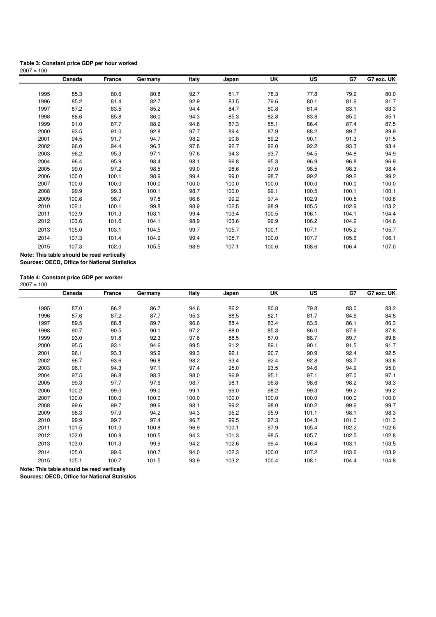#### **Table 3: Constant price GDP per hour worked**  $2007 = 100$

|      | Canada                                     | France | Germany | Italy | Japan | UK    | <b>US</b> | G7    | G7 exc. UK |
|------|--------------------------------------------|--------|---------|-------|-------|-------|-----------|-------|------------|
|      |                                            |        |         |       |       |       |           |       |            |
| 1995 | 85.3                                       | 80.6   | 80.8    | 92.7  | 81.7  | 78.3  | 77.8      | 79.9  | 80.0       |
| 1996 | 85.2                                       | 81.4   | 82.7    | 92.9  | 83.5  | 79.6  | 80.1      | 81.6  | 81.7       |
| 1997 | 87.2                                       | 83.5   | 85.2    | 94.4  | 84.7  | 80.8  | 81.4      | 83.1  | 83.3       |
| 1998 | 88.6                                       | 85.8   | 86.0    | 94.3  | 85.3  | 82.8  | 83.8      | 85.0  | 85.1       |
| 1999 | 91.0                                       | 87.7   | 88.9    | 94.8  | 87.3  | 85.1  | 86.4      | 87.4  | 87.5       |
| 2000 | 93.5                                       | 91.0   | 92.8    | 97.7  | 89.4  | 87.9  | 88.2      | 89.7  | 89.9       |
| 2001 | 94.5                                       | 91.7   | 94.7    | 98.2  | 90.8  | 89.2  | 90.1      | 91.3  | 91.5       |
| 2002 | 96.0                                       | 94.4   | 96.3    | 97.8  | 92.7  | 92.0  | 92.2      | 93.3  | 93.4       |
| 2003 | 96.2                                       | 95.3   | 97.1    | 97.6  | 94.3  | 93.7  | 94.5      | 94.8  | 94.9       |
| 2004 | 96.4                                       | 95.9   | 98.4    | 98.1  | 96.8  | 95.3  | 96.9      | 96.8  | 96.9       |
| 2005 | 99.0                                       | 97.2   | 98.5    | 99.0  | 98.6  | 97.0  | 98.5      | 98.3  | 98.4       |
| 2006 | 100.0                                      | 100.1  | 98.9    | 99.4  | 99.0  | 98.7  | 99.2      | 99.2  | 99.2       |
| 2007 | 100.0                                      | 100.0  | 100.0   | 100.0 | 100.0 | 100.0 | 100.0     | 100.0 | 100.0      |
| 2008 | 99.9                                       | 99.3   | 100.1   | 98.7  | 100.0 | 99.1  | 100.5     | 100.1 | 100.1      |
| 2009 | 100.6                                      | 98.7   | 97.8    | 96.6  | 99.2  | 97.4  | 102.9     | 100.5 | 100.8      |
| 2010 | 102.1                                      | 100.1  | 99.8    | 98.9  | 102.5 | 98.9  | 105.5     | 102.9 | 103.2      |
| 2011 | 103.9                                      | 101.3  | 103.1   | 99.4  | 103.4 | 100.5 | 106.1     | 104.1 | 104.4      |
| 2012 | 103.6                                      | 101.6  | 104.1   | 98.9  | 103.6 | 99.9  | 106.2     | 104.2 | 104.6      |
| 2013 | 105.0                                      | 103.1  | 104.5   | 99.7  | 105.7 | 100.1 | 107.1     | 105.2 | 105.7      |
| 2014 | 107.3                                      | 101.4  | 104.9   | 99.4  | 105.7 | 100.0 | 107.7     | 105.6 | 106.1      |
| 2015 | 107.3                                      | 102.0  | 105.5   | 98.9  | 107.1 | 100.6 | 108.6     | 106.4 | 107.0      |
|      | Note: This table should be read vertically |        |         |       |       |       |           |       |            |

**Sources: OECD, Office for National Statistics**

**Table 4: Constant price GDP per worker**

|      | Canada | France | Germany | Italy | Japan | UK    | <b>US</b> | G7    | G7 exc. UK |
|------|--------|--------|---------|-------|-------|-------|-----------|-------|------------|
|      |        |        |         |       |       |       |           |       |            |
| 1995 | 87.0   | 86.2   | 86.7    | 94.6  | 86.2  | 80.8  | 79.8      | 83.0  | 83.2       |
| 1996 | 87.6   | 87.2   | 87.7    | 95.3  | 88.5  | 82.1  | 81.7      | 84.6  | 84.8       |
| 1997 | 89.5   | 88.8   | 89.7    | 96.6  | 88.4  | 83.4  | 83.5      | 86.1  | 86.3       |
| 1998 | 90.7   | 90.5   | 90.1    | 97.2  | 88.0  | 85.3  | 86.0      | 87.6  | 87.8       |
| 1999 | 93.0   | 91.8   | 92.3    | 97.6  | 88.5  | 87.0  | 88.7      | 89.7  | 89.8       |
| 2000 | 95.5   | 93.1   | 94.6    | 99.5  | 91.2  | 89.1  | 90.1      | 91.5  | 91.7       |
| 2001 | 96.1   | 93.3   | 95.9    | 99.3  | 92.1  | 90.7  | 90.9      | 92.4  | 92.5       |
| 2002 | 96.7   | 93.6   | 96.8    | 98.2  | 93.4  | 92.4  | 92.8      | 93.7  | 93.8       |
| 2003 | 96.1   | 94.3   | 97.1    | 97.4  | 95.0  | 93.5  | 94.6      | 94.9  | 95.0       |
| 2004 | 97.5   | 96.8   | 98.3    | 98.0  | 96.9  | 95.1  | 97.1      | 97.0  | 97.1       |
| 2005 | 99.3   | 97.7   | 97.6    | 98.7  | 98.1  | 96.8  | 98.6      | 98.2  | 98.3       |
| 2006 | 100.2  | 99.0   | 99.0    | 99.1  | 99.0  | 98.2  | 99.3      | 99.2  | 99.2       |
| 2007 | 100.0  | 100.0  | 100.0   | 100.0 | 100.0 | 100.0 | 100.0     | 100.0 | 100.0      |
| 2008 | 99.6   | 99.7   | 99.6    | 98.1  | 99.2  | 98.0  | 100.2     | 99.6  | 99.7       |
| 2009 | 98.3   | 97.9   | 94.2    | 94.3  | 95.2  | 95.9  | 101.1     | 98.1  | 98.3       |
| 2010 | 99.9   | 99.7   | 97.4    | 96.7  | 99.5  | 97.3  | 104.3     | 101.0 | 101.3      |
| 2011 | 101.5  | 101.0  | 100.8   | 96.9  | 100.1 | 97.9  | 105.4     | 102.2 | 102.6      |
| 2012 | 102.0  | 100.9  | 100.5   | 94.3  | 101.3 | 98.5  | 105.7     | 102.5 | 102.8      |
| 2013 | 103.0  | 101.3  | 99.9    | 94.2  | 102.6 | 99.4  | 106.4     | 103.1 | 103.5      |
| 2014 | 105.0  | 99.6   | 100.7   | 94.0  | 102.3 | 100.0 | 107.2     | 103.6 | 103.9      |
| 2015 | 105.1  | 100.7  | 101.5   | 93.9  | 103.2 | 100.4 | 108.1     | 104.4 | 104.8      |

**Note: This table should be read vertically**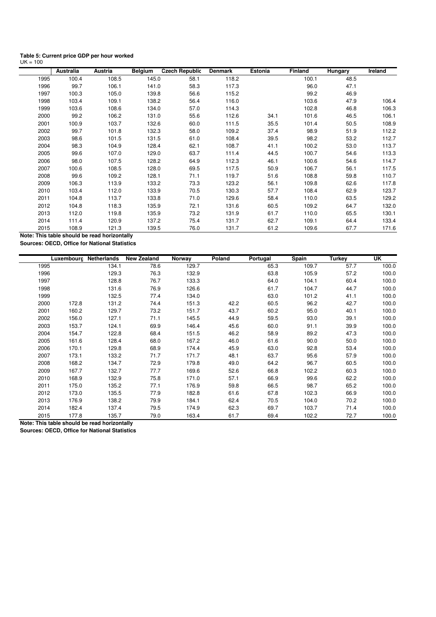| Table 5: Current price GDP per hour worked |  |  |
|--------------------------------------------|--|--|
| $UK = 100$                                 |  |  |

|      | Australia | Austria | <b>Belgium</b> | Czech Republic | <b>Denmark</b> | Estonia | Finland | Hungary | Ireland |
|------|-----------|---------|----------------|----------------|----------------|---------|---------|---------|---------|
| 1995 | 100.4     | 108.5   | 145.0          | 58.1           | 118.2          |         | 100.1   | 48.5    |         |
| 1996 | 99.7      | 106.1   | 141.0          | 58.3           | 117.3          |         | 96.0    | 47.1    |         |
| 1997 | 100.3     | 105.0   | 139.8          | 56.6           | 115.2          |         | 99.2    | 46.9    |         |
| 1998 | 103.4     | 109.1   | 138.2          | 56.4           | 116.0          |         | 103.6   | 47.9    | 106.4   |
| 1999 | 103.6     | 108.6   | 134.0          | 57.0           | 114.3          |         | 102.8   | 46.8    | 106.3   |
| 2000 | 99.2      | 106.2   | 131.0          | 55.6           | 112.6          | 34.1    | 101.6   | 46.5    | 106.1   |
| 2001 | 100.9     | 103.7   | 132.6          | 60.0           | 111.5          | 35.5    | 101.4   | 50.5    | 108.9   |
| 2002 | 99.7      | 101.8   | 132.3          | 58.0           | 109.2          | 37.4    | 98.9    | 51.9    | 112.2   |
| 2003 | 98.6      | 101.5   | 131.5          | 61.0           | 108.4          | 39.5    | 98.2    | 53.2    | 112.7   |
| 2004 | 98.3      | 104.9   | 128.4          | 62.1           | 108.7          | 41.1    | 100.2   | 53.0    | 113.7   |
| 2005 | 99.6      | 107.0   | 129.0          | 63.7           | 111.4          | 44.5    | 100.7   | 54.6    | 113.3   |
| 2006 | 98.0      | 107.5   | 128.2          | 64.9           | 112.3          | 46.1    | 100.6   | 54.6    | 114.7   |
| 2007 | 100.6     | 108.5   | 128.0          | 69.5           | 117.5          | 50.9    | 106.7   | 56.1    | 117.5   |
| 2008 | 99.6      | 109.2   | 128.1          | 71.1           | 119.7          | 51.6    | 108.8   | 59.8    | 110.7   |
| 2009 | 106.3     | 113.9   | 133.2          | 73.3           | 123.2          | 56.1    | 109.8   | 62.6    | 117.8   |
| 2010 | 103.4     | 112.0   | 133.9          | 70.5           | 130.3          | 57.7    | 108.4   | 62.9    | 123.7   |
| 2011 | 104.8     | 113.7   | 133.8          | 71.0           | 129.6          | 58.4    | 110.0   | 63.5    | 129.2   |
| 2012 | 104.8     | 118.3   | 135.9          | 72.1           | 131.6          | 60.5    | 109.2   | 64.7    | 132.0   |
| 2013 | 112.0     | 119.8   | 135.9          | 73.2           | 131.9          | 61.7    | 110.0   | 65.5    | 130.1   |
| 2014 | 111.4     | 120.9   | 137.2          | 75.4           | 131.7          | 62.7    | 109.1   | 64.4    | 133.4   |
| 2015 | 108.9     | 121.3   | 139.5          | 76.0           | 131.7          | 61.2    | 109.6   | 67.7    | 171.6   |

**Note: This table should be read horizontally Sources: OECD, Office for National Statistics**

| Luxembourg    | Netherlands | <b>New Zealand</b> | Norway | Poland | Portugal | Spain | <b>Turkey</b> | UK    |
|---------------|-------------|--------------------|--------|--------|----------|-------|---------------|-------|
| 1995          | 134.1       | 78.6               | 129.7  |        | 65.3     | 109.7 | 57.7          | 100.0 |
| 1996          | 129.3       | 76.3               | 132.9  |        | 63.8     | 105.9 | 57.2          | 100.0 |
| 1997          | 128.8       | 76.7               | 133.3  |        | 64.0     | 104.1 | 60.4          | 100.0 |
| 1998          | 131.6       | 76.9               | 126.6  |        | 61.7     | 104.7 | 44.7          | 100.0 |
| 1999          | 132.5       | 77.4               | 134.0  |        | 63.0     | 101.2 | 41.1          | 100.0 |
| 2000<br>172.8 | 131.2       | 74.4               | 151.3  | 42.2   | 60.5     | 96.2  | 42.7          | 100.0 |
| 2001<br>160.2 | 129.7       | 73.2               | 151.7  | 43.7   | 60.2     | 95.0  | 40.1          | 100.0 |
| 2002<br>156.0 | 127.1       | 71.1               | 145.5  | 44.9   | 59.5     | 93.0  | 39.1          | 100.0 |
| 2003<br>153.7 | 124.1       | 69.9               | 146.4  | 45.6   | 60.0     | 91.1  | 39.9          | 100.0 |
| 2004<br>154.7 | 122.8       | 68.4               | 151.5  | 46.2   | 58.9     | 89.2  | 47.3          | 100.0 |
| 2005<br>161.6 | 128.4       | 68.0               | 167.2  | 46.0   | 61.6     | 90.0  | 50.0          | 100.0 |
| 2006<br>170.1 | 129.8       | 68.9               | 174.4  | 45.9   | 63.0     | 92.8  | 53.4          | 100.0 |
| 2007<br>173.1 | 133.2       | 71.7               | 171.7  | 48.1   | 63.7     | 95.6  | 57.9          | 100.0 |
| 2008<br>168.2 | 134.7       | 72.9               | 179.8  | 49.0   | 64.2     | 96.7  | 60.5          | 100.0 |
| 2009<br>167.7 | 132.7       | 77.7               | 169.6  | 52.6   | 66.8     | 102.2 | 60.3          | 100.0 |
| 2010<br>168.9 | 132.9       | 75.8               | 171.0  | 57.1   | 66.9     | 99.6  | 62.2          | 100.0 |
| 2011<br>175.0 | 135.2       | 77.1               | 176.9  | 59.8   | 66.5     | 98.7  | 65.2          | 100.0 |
| 2012<br>173.0 | 135.5       | 77.9               | 182.8  | 61.6   | 67.8     | 102.3 | 66.9          | 100.0 |
| 2013<br>176.9 | 138.2       | 79.9               | 184.1  | 62.4   | 70.5     | 104.0 | 70.2          | 100.0 |
| 2014<br>182.4 | 137.4       | 79.5               | 174.9  | 62.3   | 69.7     | 103.7 | 71.4          | 100.0 |
| 2015<br>177.8 | 135.7       | 79.0               | 163.4  | 61.7   | 69.4     | 102.2 | 72.7          | 100.0 |

**Note: This table should be read horizontally**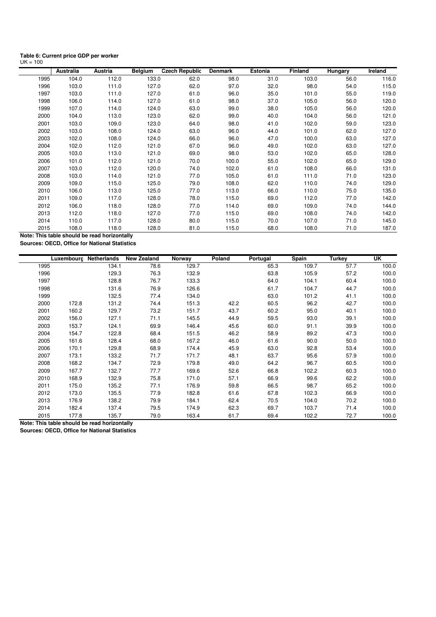| Table 6: Current price GDP per worker |  |
|---------------------------------------|--|
| $UK = 100$                            |  |

|      | Australia | Austria | <b>Belgium</b> | <b>Czech Republic</b> | <b>Denmark</b> | Estonia | <b>Finland</b> | Hungary | Ireland |
|------|-----------|---------|----------------|-----------------------|----------------|---------|----------------|---------|---------|
| 1995 | 104.0     | 112.0   | 133.0          | 62.0                  | 98.0           | 31.0    | 103.0          | 56.0    | 116.0   |
| 1996 | 103.0     | 111.0   | 127.0          | 62.0                  | 97.0           | 32.0    | 98.0           | 54.0    | 115.0   |
| 1997 | 103.0     | 111.0   | 127.0          | 61.0                  | 96.0           | 35.0    | 101.0          | 55.0    | 119.0   |
| 1998 | 106.0     | 114.0   | 127.0          | 61.0                  | 98.0           | 37.0    | 105.0          | 56.0    | 120.0   |
| 1999 | 107.0     | 114.0   | 124.0          | 63.0                  | 99.0           | 38.0    | 105.0          | 56.0    | 120.0   |
| 2000 | 104.0     | 113.0   | 123.0          | 62.0                  | 99.0           | 40.0    | 104.0          | 56.0    | 121.0   |
| 2001 | 103.0     | 109.0   | 123.0          | 64.0                  | 98.0           | 41.0    | 102.0          | 59.0    | 123.0   |
| 2002 | 103.0     | 108.0   | 124.0          | 63.0                  | 96.0           | 44.0    | 101.0          | 62.0    | 127.0   |
| 2003 | 102.0     | 108.0   | 124.0          | 66.0                  | 96.0           | 47.0    | 100.0          | 63.0    | 127.0   |
| 2004 | 102.0     | 112.0   | 121.0          | 67.0                  | 96.0           | 49.0    | 102.0          | 63.0    | 127.0   |
| 2005 | 103.0     | 113.0   | 121.0          | 69.0                  | 98.0           | 53.0    | 102.0          | 65.0    | 128.0   |
| 2006 | 101.0     | 112.0   | 121.0          | 70.0                  | 100.0          | 55.0    | 102.0          | 65.0    | 129.0   |
| 2007 | 103.0     | 112.0   | 120.0          | 74.0                  | 102.0          | 61.0    | 108.0          | 66.0    | 131.0   |
| 2008 | 103.0     | 114.0   | 121.0          | 77.0                  | 105.0          | 61.0    | 111.0          | 71.0    | 123.0   |
| 2009 | 109.0     | 115.0   | 125.0          | 79.0                  | 108.0          | 62.0    | 110.0          | 74.0    | 129.0   |
| 2010 | 106.0     | 113.0   | 125.0          | 77.0                  | 113.0          | 66.0    | 110.0          | 75.0    | 135.0   |
| 2011 | 109.0     | 117.0   | 128.0          | 78.0                  | 115.0          | 69.0    | 112.0          | 77.0    | 142.0   |
| 2012 | 106.0     | 118.0   | 128.0          | 77.0                  | 114.0          | 69.0    | 109.0          | 74.0    | 144.0   |
| 2013 | 112.0     | 118.0   | 127.0          | 77.0                  | 115.0          | 69.0    | 108.0          | 74.0    | 142.0   |
| 2014 | 110.0     | 117.0   | 128.0          | 80.0                  | 115.0          | 70.0    | 107.0          | 71.0    | 145.0   |
| 2015 | 108.0     | 118.0   | 128.0          | 81.0                  | 115.0          | 68.0    | 108.0          | 71.0    | 187.0   |

**Note: This table should be read horizontally Sources: OECD, Office for National Statistics**

|      |       | Luxembourg Netherlands | <b>New Zealand</b> | Norway | Poland | Portugal | Spain | <b>Turkey</b> | UK    |
|------|-------|------------------------|--------------------|--------|--------|----------|-------|---------------|-------|
| 1995 |       | 134.1                  | 78.6               | 129.7  |        | 65.3     | 109.7 | 57.7          | 100.0 |
| 1996 |       | 129.3                  | 76.3               | 132.9  |        | 63.8     | 105.9 | 57.2          | 100.0 |
| 1997 |       | 128.8                  | 76.7               | 133.3  |        | 64.0     | 104.1 | 60.4          | 100.0 |
| 1998 |       | 131.6                  | 76.9               | 126.6  |        | 61.7     | 104.7 | 44.7          | 100.0 |
| 1999 |       | 132.5                  | 77.4               | 134.0  |        | 63.0     | 101.2 | 41.1          | 100.0 |
| 2000 | 172.8 | 131.2                  | 74.4               | 151.3  | 42.2   | 60.5     | 96.2  | 42.7          | 100.0 |
| 2001 | 160.2 | 129.7                  | 73.2               | 151.7  | 43.7   | 60.2     | 95.0  | 40.1          | 100.0 |
| 2002 | 156.0 | 127.1                  | 71.1               | 145.5  | 44.9   | 59.5     | 93.0  | 39.1          | 100.0 |
| 2003 | 153.7 | 124.1                  | 69.9               | 146.4  | 45.6   | 60.0     | 91.1  | 39.9          | 100.0 |
| 2004 | 154.7 | 122.8                  | 68.4               | 151.5  | 46.2   | 58.9     | 89.2  | 47.3          | 100.0 |
| 2005 | 161.6 | 128.4                  | 68.0               | 167.2  | 46.0   | 61.6     | 90.0  | 50.0          | 100.0 |
| 2006 | 170.1 | 129.8                  | 68.9               | 174.4  | 45.9   | 63.0     | 92.8  | 53.4          | 100.0 |
| 2007 | 173.1 | 133.2                  | 71.7               | 171.7  | 48.1   | 63.7     | 95.6  | 57.9          | 100.0 |
| 2008 | 168.2 | 134.7                  | 72.9               | 179.8  | 49.0   | 64.2     | 96.7  | 60.5          | 100.0 |
| 2009 | 167.7 | 132.7                  | 77.7               | 169.6  | 52.6   | 66.8     | 102.2 | 60.3          | 100.0 |
| 2010 | 168.9 | 132.9                  | 75.8               | 171.0  | 57.1   | 66.9     | 99.6  | 62.2          | 100.0 |
| 2011 | 175.0 | 135.2                  | 77.1               | 176.9  | 59.8   | 66.5     | 98.7  | 65.2          | 100.0 |
| 2012 | 173.0 | 135.5                  | 77.9               | 182.8  | 61.6   | 67.8     | 102.3 | 66.9          | 100.0 |
| 2013 | 176.9 | 138.2                  | 79.9               | 184.1  | 62.4   | 70.5     | 104.0 | 70.2          | 100.0 |
| 2014 | 182.4 | 137.4                  | 79.5               | 174.9  | 62.3   | 69.7     | 103.7 | 71.4          | 100.0 |
| 2015 | 177.8 | 135.7                  | 79.0               | 163.4  | 61.7   | 69.4     | 102.2 | 72.7          | 100.0 |

**Note: This table should be read horizontally**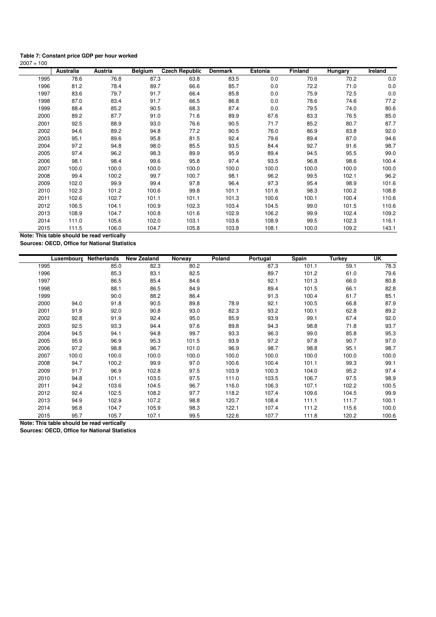#### **Table 7: Constant price GDP per hour worked**

| $2007 = 100$ |           |         |                |                       |                |         |         |         |         |
|--------------|-----------|---------|----------------|-----------------------|----------------|---------|---------|---------|---------|
|              | Australia | Austria | <b>Belgium</b> | <b>Czech Republic</b> | <b>Denmark</b> | Estonia | Finland | Hungary | Ireland |
| 1995         | 78.6      | 76.8    | 87.3           | 63.8                  | 83.5           | 0.0     | 70.6    | 70.2    | 0.0     |
| 1996         | 81.2      | 78.4    | 89.7           | 66.6                  | 85.7           | 0.0     | 72.2    | 71.0    | 0.0     |
| 1997         | 83.6      | 79.7    | 91.7           | 66.4                  | 85.8           | 0.0     | 75.9    | 72.5    | 0.0     |
| 1998         | 87.0      | 83.4    | 91.7           | 66.5                  | 86.8           | 0.0     | 78.6    | 74.6    | 77.2    |
| 1999         | 88.4      | 85.2    | 90.5           | 68.3                  | 87.4           | 0.0     | 79.5    | 74.0    | 80.6    |
| 2000         | 89.2      | 87.7    | 91.0           | 71.6                  | 89.9           | 67.6    | 83.3    | 76.5    | 85.0    |
| 2001         | 92.5      | 88.9    | 93.0           | 76.6                  | 90.5           | 71.7    | 85.2    | 80.7    | 87.7    |
| 2002         | 94.6      | 89.2    | 94.8           | 77.2                  | 90.5           | 76.0    | 86.9    | 83.8    | 92.0    |
| 2003         | 95.1      | 89.6    | 95.8           | 81.5                  | 92.4           | 79.6    | 89.4    | 87.0    | 94.6    |
| 2004         | 97.2      | 94.8    | 98.0           | 85.5                  | 93.5           | 84.4    | 92.7    | 91.6    | 98.7    |
| 2005         | 97.4      | 96.2    | 98.3           | 89.9                  | 95.9           | 89.4    | 94.5    | 95.5    | 99.0    |
| 2006         | 98.1      | 98.4    | 99.6           | 95.8                  | 97.4           | 93.5    | 96.8    | 98.6    | 100.4   |
| 2007         | 100.0     | 100.0   | 100.0          | 100.0                 | 100.0          | 100.0   | 100.0   | 100.0   | 100.0   |
| 2008         | 99.4      | 100.2   | 99.7           | 100.7                 | 98.1           | 96.2    | 99.5    | 102.1   | 96.2    |
| 2009         | 102.0     | 99.9    | 99.4           | 97.8                  | 96.4           | 97.3    | 95.4    | 98.9    | 101.6   |
| 2010         | 102.3     | 101.2   | 100.6          | 99.8                  | 101.1          | 101.6   | 98.3    | 100.2   | 108.8   |
| 2011         | 102.6     | 102.7   | 101.1          | 101.1                 | 101.3          | 100.6   | 100.1   | 100.4   | 110.6   |
| 2012         | 106.5     | 104.1   | 100.9          | 102.3                 | 103.4          | 104.5   | 99.0    | 101.5   | 110.6   |
| 2013         | 108.9     | 104.7   | 100.8          | 101.6                 | 102.9          | 106.2   | 99.9    | 102.4   | 109.2   |
| 2014         | 111.0     | 105.6   | 102.0          | 103.1                 | 103.6          | 108.9   | 99.5    | 102.3   | 116.1   |
| 2015         | 111.5     | 106.0   | 104.7          | 105.8                 | 103.8          | 108.1   | 100.0   | 109.2   | 143.1   |

**Note: This table should be read vertically Sources: OECD, Office for National Statistics**

|      | Luxembourg Netherlands |       | <b>New Zealand</b> | Norway | Poland | Portugal | Spain | <b>Turkey</b> | UK    |
|------|------------------------|-------|--------------------|--------|--------|----------|-------|---------------|-------|
| 1995 |                        | 85.0  | 82.3               | 80.2   |        | 87.3     | 101.1 | 59.1          | 78.3  |
| 1996 |                        | 85.3  | 83.1               | 82.5   |        | 89.7     | 101.2 | 61.0          | 79.6  |
| 1997 |                        | 86.5  | 85.4               | 84.6   |        | 92.1     | 101.3 | 66.0          | 80.8  |
| 1998 |                        | 88.1  | 86.5               | 84.9   |        | 89.4     | 101.5 | 66.1          | 82.8  |
| 1999 |                        | 90.0  | 88.2               | 86.4   |        | 91.3     | 100.4 | 61.7          | 85.1  |
| 2000 | 94.0                   | 91.8  | 90.5               | 89.8   | 78.9   | 92.1     | 100.5 | 66.8          | 87.9  |
| 2001 | 91.9                   | 92.0  | 90.8               | 93.0   | 82.3   | 93.2     | 100.1 | 62.8          | 89.2  |
| 2002 | 92.8                   | 91.9  | 92.4               | 95.0   | 85.9   | 93.9     | 99.1  | 67.4          | 92.0  |
| 2003 | 92.5                   | 93.3  | 94.4               | 97.6   | 89.8   | 94.3     | 98.8  | 71.8          | 93.7  |
| 2004 | 94.5                   | 94.1  | 94.8               | 99.7   | 93.3   | 96.3     | 99.0  | 85.8          | 95.3  |
| 2005 | 95.9                   | 96.9  | 95.3               | 101.5  | 93.9   | 97.2     | 97.8  | 90.7          | 97.0  |
| 2006 | 97.2                   | 98.8  | 96.7               | 101.0  | 96.9   | 98.7     | 98.8  | 95.1          | 98.7  |
| 2007 | 100.0                  | 100.0 | 100.0              | 100.0  | 100.0  | 100.0    | 100.0 | 100.0         | 100.0 |
| 2008 | 94.7                   | 100.2 | 99.9               | 97.0   | 100.6  | 100.4    | 101.1 | 99.3          | 99.1  |
| 2009 | 91.7                   | 96.9  | 102.8              | 97.5   | 103.9  | 100.3    | 104.0 | 95.2          | 97.4  |
| 2010 | 94.8                   | 101.1 | 103.5              | 97.5   | 111.0  | 103.5    | 106.7 | 97.5          | 98.9  |
| 2011 | 94.2                   | 103.6 | 104.5              | 96.7   | 116.0  | 106.3    | 107.1 | 102.2         | 100.5 |
| 2012 | 92.4                   | 102.5 | 108.2              | 97.7   | 118.2  | 107.4    | 109.6 | 104.5         | 99.9  |
| 2013 | 94.9                   | 102.9 | 107.2              | 98.8   | 120.7  | 108.4    | 111.1 | 111.7         | 100.1 |
| 2014 | 96.8                   | 104.7 | 105.9              | 98.3   | 122.1  | 107.4    | 111.2 | 115.6         | 100.0 |
| 2015 | 95.7                   | 105.7 | 107.1              | 99.5   | 122.6  | 107.7    | 111.8 | 120.2         | 100.6 |

**Note: This table should be read vertically**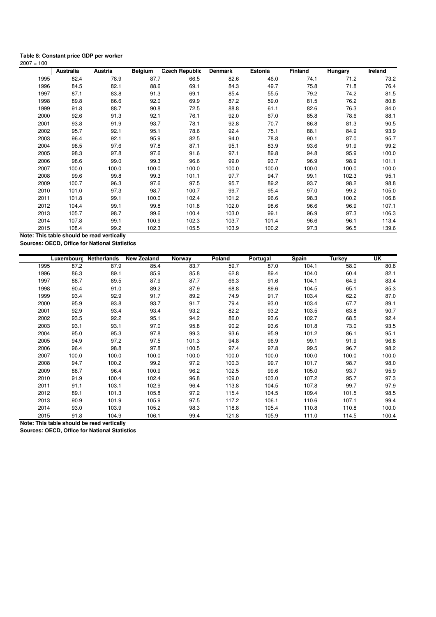#### **Table 8: Constant price GDP per worker**

| $2007 = 100$ |           |         |                |                       |                |         |         |         |         |
|--------------|-----------|---------|----------------|-----------------------|----------------|---------|---------|---------|---------|
|              | Australia | Austria | <b>Belgium</b> | <b>Czech Republic</b> | <b>Denmark</b> | Estonia | Finland | Hungary | Ireland |
| 1995         | 82.4      | 78.9    | 87.7           | 66.5                  | 82.6           | 46.0    | 74.1    | 71.2    | 73.2    |
| 1996         | 84.5      | 82.1    | 88.6           | 69.1                  | 84.3           | 49.7    | 75.8    | 71.8    | 76.4    |
| 1997         | 87.1      | 83.8    | 91.3           | 69.1                  | 85.4           | 55.5    | 79.2    | 74.2    | 81.5    |
| 1998         | 89.8      | 86.6    | 92.0           | 69.9                  | 87.2           | 59.0    | 81.5    | 76.2    | 80.8    |
| 1999         | 91.8      | 88.7    | 90.8           | 72.5                  | 88.8           | 61.1    | 82.6    | 76.3    | 84.0    |
| 2000         | 92.6      | 91.3    | 92.1           | 76.1                  | 92.0           | 67.0    | 85.8    | 78.6    | 88.1    |
| 2001         | 93.8      | 91.9    | 93.7           | 78.1                  | 92.8           | 70.7    | 86.8    | 81.3    | 90.5    |
| 2002         | 95.7      | 92.1    | 95.1           | 78.6                  | 92.4           | 75.1    | 88.1    | 84.9    | 93.9    |
| 2003         | 96.4      | 92.1    | 95.9           | 82.5                  | 94.0           | 78.8    | 90.1    | 87.0    | 95.7    |
| 2004         | 98.5      | 97.6    | 97.8           | 87.1                  | 95.1           | 83.9    | 93.6    | 91.9    | 99.2    |
| 2005         | 98.3      | 97.8    | 97.6           | 91.6                  | 97.1           | 89.8    | 94.8    | 95.9    | 100.0   |
| 2006         | 98.6      | 99.0    | 99.3           | 96.6                  | 99.0           | 93.7    | 96.9    | 98.9    | 101.1   |
| 2007         | 100.0     | 100.0   | 100.0          | 100.0                 | 100.0          | 100.0   | 100.0   | 100.0   | 100.0   |
| 2008         | 99.6      | 99.8    | 99.3           | 101.1                 | 97.7           | 94.7    | 99.1    | 102.3   | 95.1    |
| 2009         | 100.7     | 96.3    | 97.6           | 97.5                  | 95.7           | 89.2    | 93.7    | 98.2    | 98.8    |
| 2010         | 101.0     | 97.3    | 98.7           | 100.7                 | 99.7           | 95.4    | 97.0    | 99.2    | 105.0   |
| 2011         | 101.8     | 99.1    | 100.0          | 102.4                 | 101.2          | 96.6    | 98.3    | 100.2   | 106.8   |
| 2012         | 104.4     | 99.1    | 99.8           | 101.8                 | 102.0          | 98.6    | 96.6    | 96.9    | 107.1   |
| 2013         | 105.7     | 98.7    | 99.6           | 100.4                 | 103.0          | 99.1    | 96.9    | 97.3    | 106.3   |
| 2014         | 107.8     | 99.1    | 100.9          | 102.3                 | 103.7          | 101.4   | 96.6    | 96.1    | 113.4   |
| 2015         | 108.4     | 99.2    | 102.3          | 105.5                 | 103.9          | 100.2   | 97.3    | 96.5    | 139.6   |

**Note: This table should be read vertically Sources: OECD, Office for National Statistics**

| Luxembourg    | Netherlands | <b>New Zealand</b> | Norway | Poland | Portugal | Spain | <b>Turkey</b> | UK    |
|---------------|-------------|--------------------|--------|--------|----------|-------|---------------|-------|
| 87.2<br>1995  | 87.9        | 85.4               | 83.7   | 59.7   | 87.0     | 104.1 | 58.0          | 80.8  |
| 1996<br>86.3  | 89.1        | 85.9               | 85.8   | 62.8   | 89.4     | 104.0 | 60.4          | 82.1  |
| 1997<br>88.7  | 89.5        | 87.9               | 87.7   | 66.3   | 91.6     | 104.1 | 64.9          | 83.4  |
| 1998<br>90.4  | 91.0        | 89.2               | 87.9   | 68.8   | 89.6     | 104.5 | 65.1          | 85.3  |
| 1999<br>93.4  | 92.9        | 91.7               | 89.2   | 74.9   | 91.7     | 103.4 | 62.2          | 87.0  |
| 2000<br>95.9  | 93.8        | 93.7               | 91.7   | 79.4   | 93.0     | 103.4 | 67.7          | 89.1  |
| 2001<br>92.9  | 93.4        | 93.4               | 93.2   | 82.2   | 93.2     | 103.5 | 63.8          | 90.7  |
| 2002<br>93.5  | 92.2        | 95.1               | 94.2   | 86.0   | 93.6     | 102.7 | 68.5          | 92.4  |
| 2003<br>93.1  | 93.1        | 97.0               | 95.8   | 90.2   | 93.6     | 101.8 | 73.0          | 93.5  |
| 2004<br>95.0  | 95.3        | 97.8               | 99.3   | 93.6   | 95.9     | 101.2 | 86.1          | 95.1  |
| 2005<br>94.9  | 97.2        | 97.5               | 101.3  | 94.8   | 96.9     | 99.1  | 91.9          | 96.8  |
| 2006<br>96.4  | 98.8        | 97.8               | 100.5  | 97.4   | 97.8     | 99.5  | 96.7          | 98.2  |
| 2007<br>100.0 | 100.0       | 100.0              | 100.0  | 100.0  | 100.0    | 100.0 | 100.0         | 100.0 |
| 2008<br>94.7  | 100.2       | 99.2               | 97.2   | 100.3  | 99.7     | 101.7 | 98.7          | 98.0  |
| 88.7<br>2009  | 96.4        | 100.9              | 96.2   | 102.5  | 99.6     | 105.0 | 93.7          | 95.9  |
| 2010<br>91.9  | 100.4       | 102.4              | 96.8   | 109.0  | 103.0    | 107.2 | 95.7          | 97.3  |
| 2011<br>91.1  | 103.1       | 102.9              | 96.4   | 113.8  | 104.5    | 107.8 | 99.7          | 97.9  |
| 89.1<br>2012  | 101.3       | 105.8              | 97.2   | 115.4  | 104.5    | 109.4 | 101.5         | 98.5  |
| 2013<br>90.9  | 101.9       | 105.9              | 97.5   | 117.2  | 106.1    | 110.6 | 107.1         | 99.4  |
| 2014<br>93.0  | 103.9       | 105.2              | 98.3   | 118.8  | 105.4    | 110.8 | 110.8         | 100.0 |
| 2015<br>91.8  | 104.9       | 106.1              | 99.4   | 121.8  | 105.9    | 111.0 | 114.5         | 100.4 |

**Note: This table should be read vertically**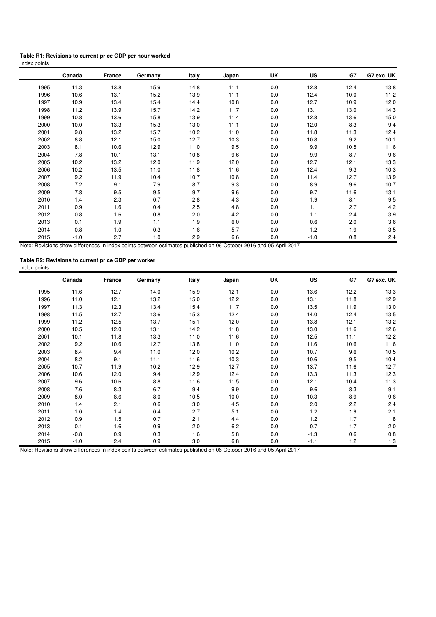#### **Table R1: Revisions to current price GDP per hour worked** Index points

|      | Canada | France | Germany | Italy | Japan | UK  | US     | G7   | G7 exc. UK |
|------|--------|--------|---------|-------|-------|-----|--------|------|------------|
| 1995 | 11.3   | 13.8   | 15.9    | 14.8  | 11.1  | 0.0 | 12.8   | 12.4 | 13.8       |
| 1996 | 10.6   | 13.1   | 15.2    | 13.9  | 11.1  | 0.0 | 12.4   | 10.0 | 11.2       |
| 1997 | 10.9   | 13.4   | 15.4    | 14.4  | 10.8  | 0.0 | 12.7   | 10.9 | 12.0       |
| 1998 | 11.2   | 13.9   | 15.7    | 14.2  | 11.7  | 0.0 | 13.1   | 13.0 | 14.3       |
| 1999 | 10.8   | 13.6   | 15.8    | 13.9  | 11.4  | 0.0 | 12.8   | 13.6 | 15.0       |
| 2000 | 10.0   | 13.3   | 15.3    | 13.0  | 11.1  | 0.0 | 12.0   | 8.3  | 9.4        |
| 2001 | 9.8    | 13.2   | 15.7    | 10.2  | 11.0  | 0.0 | 11.8   | 11.3 | 12.4       |
| 2002 | 8.8    | 12.1   | 15.0    | 12.7  | 10.3  | 0.0 | 10.8   | 9.2  | 10.1       |
| 2003 | 8.1    | 10.6   | 12.9    | 11.0  | 9.5   | 0.0 | 9.9    | 10.5 | 11.6       |
| 2004 | 7.8    | 10.1   | 13.1    | 10.8  | 9.6   | 0.0 | 9.9    | 8.7  | 9.6        |
| 2005 | 10.2   | 13.2   | 12.0    | 11.9  | 12.0  | 0.0 | 12.7   | 12.1 | 13.3       |
| 2006 | 10.2   | 13.5   | 11.0    | 11.8  | 11.6  | 0.0 | 12.4   | 9.3  | 10.3       |
| 2007 | 9.2    | 11.9   | 10.4    | 10.7  | 10.8  | 0.0 | 11.4   | 12.7 | 13.9       |
| 2008 | 7.2    | 9.1    | 7.9     | 8.7   | 9.3   | 0.0 | 8.9    | 9.6  | 10.7       |
| 2009 | 7.8    | 9.5    | 9.5     | 9.7   | 9.6   | 0.0 | 9.7    | 11.6 | 13.1       |
| 2010 | 1.4    | 2.3    | 0.7     | 2.8   | 4.3   | 0.0 | 1.9    | 8.1  | 9.5        |
| 2011 | 0.9    | 1.6    | 0.4     | 2.5   | 4.8   | 0.0 | 1.1    | 2.7  | 4.2        |
| 2012 | 0.8    | 1.6    | 0.8     | 2.0   | 4.2   | 0.0 | 1.1    | 2.4  | 3.9        |
| 2013 | 0.1    | 1.9    | 1.1     | 1.9   | 6.0   | 0.0 | 0.6    | 2.0  | 3.6        |
| 2014 | $-0.8$ | 1.0    | 0.3     | 1.6   | 5.7   | 0.0 | $-1.2$ | 1.9  | 3.5        |
| 2015 | $-1.0$ | 2.7    | 1.0     | 2.9   | 6.6   | 0.0 | $-1.0$ | 0.8  | 2.4        |

Note: Revisions show differences in index points between estimates published on 06 October 2016 and 05 April 2017

| Table R2: Revisions to current price GDP per worker |  |
|-----------------------------------------------------|--|
| Index points                                        |  |

|      | Canada | France | Germany | Italy | Japan | UK  | US     | G7   | G7 exc. UK |
|------|--------|--------|---------|-------|-------|-----|--------|------|------------|
| 1995 | 11.6   | 12.7   | 14.0    | 15.9  | 12.1  | 0.0 | 13.6   | 12.2 | 13.3       |
| 1996 | 11.0   | 12.1   | 13.2    | 15.0  | 12.2  | 0.0 | 13.1   | 11.8 | 12.9       |
| 1997 | 11.3   | 12.3   | 13.4    | 15.4  | 11.7  | 0.0 | 13.5   | 11.9 | 13.0       |
| 1998 | 11.5   | 12.7   | 13.6    | 15.3  | 12.4  | 0.0 | 14.0   | 12.4 | 13.5       |
| 1999 | 11.2   | 12.5   | 13.7    | 15.1  | 12.0  | 0.0 | 13.8   | 12.1 | 13.2       |
| 2000 | 10.5   | 12.0   | 13.1    | 14.2  | 11.8  | 0.0 | 13.0   | 11.6 | 12.6       |
| 2001 | 10.1   | 11.8   | 13.3    | 11.0  | 11.6  | 0.0 | 12.5   | 11.1 | 12.2       |
| 2002 | 9.2    | 10.6   | 12.7    | 13.8  | 11.0  | 0.0 | 11.6   | 10.6 | 11.6       |
| 2003 | 8.4    | 9.4    | 11.0    | 12.0  | 10.2  | 0.0 | 10.7   | 9.6  | 10.5       |
| 2004 | 8.2    | 9.1    | 11.1    | 11.6  | 10.3  | 0.0 | 10.6   | 9.5  | 10.4       |
| 2005 | 10.7   | 11.9   | 10.2    | 12.9  | 12.7  | 0.0 | 13.7   | 11.6 | 12.7       |
| 2006 | 10.6   | 12.0   | 9.4     | 12.9  | 12.4  | 0.0 | 13.3   | 11.3 | 12.3       |
| 2007 | 9.6    | 10.6   | 8.8     | 11.6  | 11.5  | 0.0 | 12.1   | 10.4 | 11.3       |
| 2008 | 7.6    | 8.3    | 6.7     | 9.4   | 9.9   | 0.0 | 9.6    | 8.3  | 9.1        |
| 2009 | 8.0    | 8.6    | 8.0     | 10.5  | 10.0  | 0.0 | 10.3   | 8.9  | 9.6        |
| 2010 | 1.4    | 2.1    | 0.6     | 3.0   | 4.5   | 0.0 | 2.0    | 2.2  | 2.4        |
| 2011 | 1.0    | 1.4    | 0.4     | 2.7   | 5.1   | 0.0 | 1.2    | 1.9  | 2.1        |
| 2012 | 0.9    | 1.5    | 0.7     | 2.1   | 4.4   | 0.0 | 1.2    | 1.7  | 1.8        |
| 2013 | 0.1    | 1.6    | 0.9     | 2.0   | 6.2   | 0.0 | 0.7    | 1.7  | 2.0        |
| 2014 | $-0.8$ | 0.9    | 0.3     | 1.6   | 5.8   | 0.0 | $-1.3$ | 0.6  | 0.8        |
| 2015 | $-1.0$ | 2.4    | 0.9     | 3.0   | 6.8   | 0.0 | $-1.1$ | 1.2  | $1.3$      |

Note: Revisions show differences in index points between estimates published on 06 October 2016 and 05 April 2017